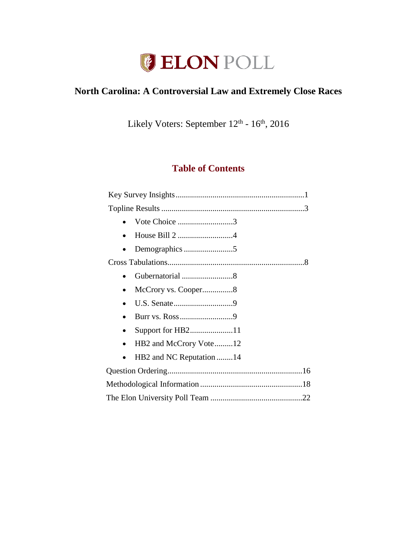

# **North Carolina: A Controversial Law and Extremely Close Races**

Likely Voters: September  $12<sup>th</sup>$  -  $16<sup>th</sup>$ , 2016

# **Table of Contents**

|           | Vote Choice 3            |  |
|-----------|--------------------------|--|
| $\bullet$ | House Bill 2 4           |  |
|           |                          |  |
|           |                          |  |
| $\bullet$ | Gubernatorial 8          |  |
|           |                          |  |
| $\bullet$ |                          |  |
|           | Burr vs. Ross9           |  |
| $\bullet$ |                          |  |
| $\bullet$ | HB2 and McCrory Vote12   |  |
|           | HB2 and NC Reputation 14 |  |
|           |                          |  |
|           |                          |  |
|           |                          |  |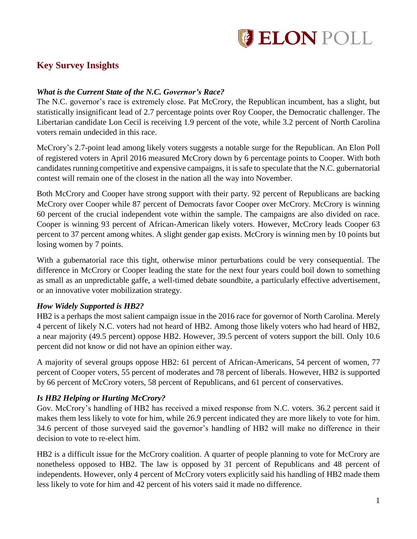

# **Key Survey Insights**

### *What is the Current State of the N.C. Governor's Race?*

The N.C. governor's race is extremely close. Pat McCrory, the Republican incumbent, has a slight, but statistically insignificant lead of 2.7 percentage points over Roy Cooper, the Democratic challenger. The Libertarian candidate Lon Cecil is receiving 1.9 percent of the vote, while 3.2 percent of North Carolina voters remain undecided in this race.

McCrory's 2.7-point lead among likely voters suggests a notable surge for the Republican. An Elon Poll of registered voters in April 2016 measured McCrory down by 6 percentage points to Cooper. With both candidates running competitive and expensive campaigns, it is safe to speculate that the N.C. gubernatorial contest will remain one of the closest in the nation all the way into November.

Both McCrory and Cooper have strong support with their party. 92 percent of Republicans are backing McCrory over Cooper while 87 percent of Democrats favor Cooper over McCrory. McCrory is winning 60 percent of the crucial independent vote within the sample. The campaigns are also divided on race. Cooper is winning 93 percent of African-American likely voters. However, McCrory leads Cooper 63 percent to 37 percent among whites. A slight gender gap exists. McCrory is winning men by 10 points but losing women by 7 points.

With a gubernatorial race this tight, otherwise minor perturbations could be very consequential. The difference in McCrory or Cooper leading the state for the next four years could boil down to something as small as an unpredictable gaffe, a well-timed debate soundbite, a particularly effective advertisement, or an innovative voter mobilization strategy.

### *How Widely Supported is HB2?*

HB2 is a perhaps the most salient campaign issue in the 2016 race for governor of North Carolina. Merely 4 percent of likely N.C. voters had not heard of HB2. Among those likely voters who had heard of HB2, a near majority (49.5 percent) oppose HB2. However, 39.5 percent of voters support the bill. Only 10.6 percent did not know or did not have an opinion either way.

A majority of several groups oppose HB2: 61 percent of African-Americans, 54 percent of women, 77 percent of Cooper voters, 55 percent of moderates and 78 percent of liberals. However, HB2 is supported by 66 percent of McCrory voters, 58 percent of Republicans, and 61 percent of conservatives.

# *Is HB2 Helping or Hurting McCrory?*

Gov. McCrory's handling of HB2 has received a mixed response from N.C. voters. 36.2 percent said it makes them less likely to vote for him, while 26.9 percent indicated they are more likely to vote for him. 34.6 percent of those surveyed said the governor's handling of HB2 will make no difference in their decision to vote to re-elect him.

HB2 is a difficult issue for the McCrory coalition. A quarter of people planning to vote for McCrory are nonetheless opposed to HB2. The law is opposed by 31 percent of Republicans and 48 percent of independents. However, only 4 percent of McCrory voters explicitly said his handling of HB2 made them less likely to vote for him and 42 percent of his voters said it made no difference.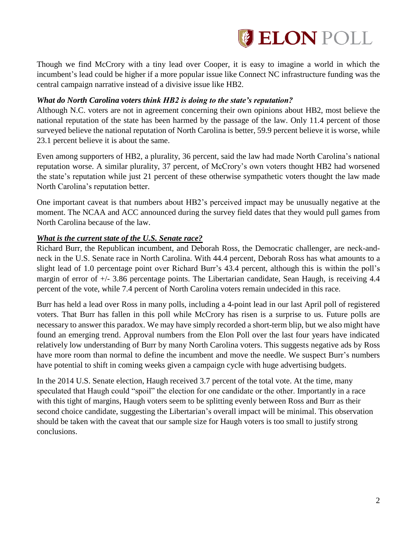

Though we find McCrory with a tiny lead over Cooper, it is easy to imagine a world in which the incumbent's lead could be higher if a more popular issue like Connect NC infrastructure funding was the central campaign narrative instead of a divisive issue like HB2.

## *What do North Carolina voters think HB2 is doing to the state's reputation?*

Although N.C. voters are not in agreement concerning their own opinions about HB2, most believe the national reputation of the state has been harmed by the passage of the law. Only 11.4 percent of those surveyed believe the national reputation of North Carolina is better, 59.9 percent believe it is worse, while 23.1 percent believe it is about the same.

Even among supporters of HB2, a plurality, 36 percent, said the law had made North Carolina's national reputation worse. A similar plurality, 37 percent, of McCrory's own voters thought HB2 had worsened the state's reputation while just 21 percent of these otherwise sympathetic voters thought the law made North Carolina's reputation better.

One important caveat is that numbers about HB2's perceived impact may be unusually negative at the moment. The NCAA and ACC announced during the survey field dates that they would pull games from North Carolina because of the law.

## *What is the current state of the U.S. Senate race?*

Richard Burr, the Republican incumbent, and Deborah Ross, the Democratic challenger, are neck-andneck in the U.S. Senate race in North Carolina. With 44.4 percent, Deborah Ross has what amounts to a slight lead of 1.0 percentage point over Richard Burr's 43.4 percent, although this is within the poll's margin of error of +/- 3.86 percentage points. The Libertarian candidate, Sean Haugh, is receiving 4.4 percent of the vote, while 7.4 percent of North Carolina voters remain undecided in this race.

Burr has held a lead over Ross in many polls, including a 4-point lead in our last April poll of registered voters. That Burr has fallen in this poll while McCrory has risen is a surprise to us. Future polls are necessary to answer this paradox. We may have simply recorded a short-term blip, but we also might have found an emerging trend. Approval numbers from the Elon Poll over the last four years have indicated relatively low understanding of Burr by many North Carolina voters. This suggests negative ads by Ross have more room than normal to define the incumbent and move the needle. We suspect Burr's numbers have potential to shift in coming weeks given a campaign cycle with huge advertising budgets.

In the 2014 U.S. Senate election, Haugh received 3.7 percent of the total vote. At the time, many speculated that Haugh could "spoil" the election for one candidate or the other. Importantly in a race with this tight of margins, Haugh voters seem to be splitting evenly between Ross and Burr as their second choice candidate, suggesting the Libertarian's overall impact will be minimal. This observation should be taken with the caveat that our sample size for Haugh voters is too small to justify strong conclusions.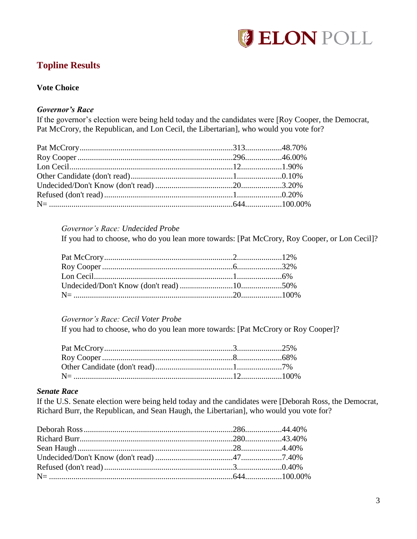

# **Topline Results**

# **Vote Choice**

# *Governor's Race*

If the governor's election were being held today and the candidates were [Roy Cooper, the Democrat, Pat McCrory, the Republican, and Lon Cecil, the Libertarian], who would you vote for?

#### *Governor's Race: Undecided Probe*

If you had to choose, who do you lean more towards: [Pat McCrory, Roy Cooper, or Lon Cecil]?

## *Governor's Race: Cecil Voter Probe*

If you had to choose, who do you lean more towards: [Pat McCrory or Roy Cooper]?

### *Senate Race*

If the U.S. Senate election were being held today and the candidates were [Deborah Ross, the Democrat, Richard Burr, the Republican, and Sean Haugh, the Libertarian], who would you vote for?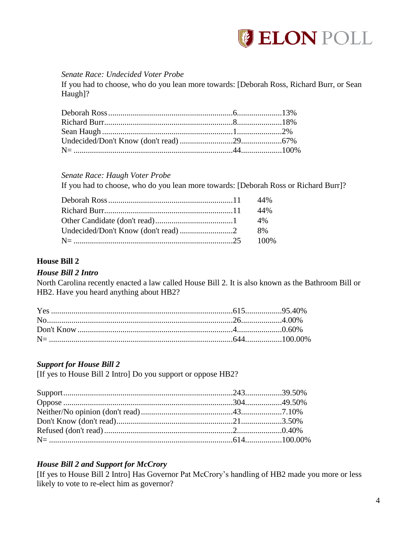

## *Senate Race: Undecided Voter Probe*

If you had to choose, who do you lean more towards: [Deborah Ross, Richard Burr, or Sean Haugh]?

*Senate Race: Haugh Voter Probe*

If you had to choose, who do you lean more towards: [Deborah Ross or Richard Burr]?

## **House Bill 2**

### *House Bill 2 Intro*

North Carolina recently enacted a law called House Bill 2. It is also known as the Bathroom Bill or HB2. Have you heard anything about HB2?

### *Support for House Bill 2*

[If yes to House Bill 2 Intro] Do you support or oppose HB2?

### *House Bill 2 and Support for McCrory*

[If yes to House Bill 2 Intro] Has Governor Pat McCrory's handling of HB2 made you more or less likely to vote to re-elect him as governor?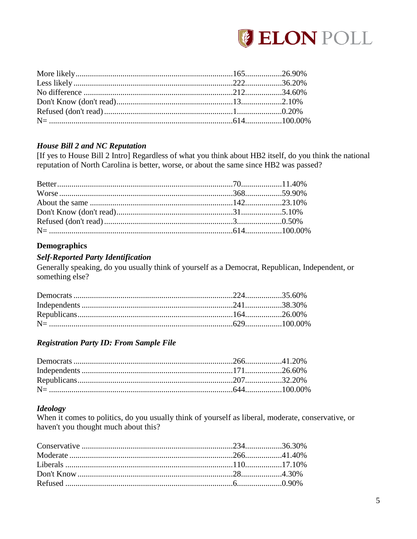

# **House Bill 2 and NC Reputation**

[If yes to House Bill 2 Intro] Regardless of what you think about HB2 itself, do you think the national reputation of North Carolina is better, worse, or about the same since HB2 was passed?

## **Demographics**

## **Self-Reported Party Identification**

Generally speaking, do you usually think of yourself as a Democrat, Republican, Independent, or something else?

# **Registration Party ID: From Sample File**

# **Ideology**

When it comes to politics, do you usually think of yourself as liberal, moderate, conservative, or haven't you thought much about this?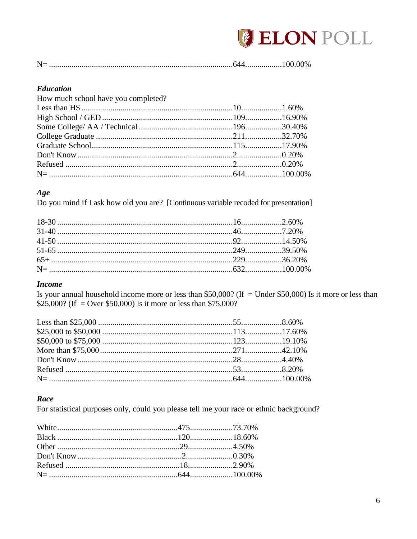

### **Education**

| How much school have you completed? |  |
|-------------------------------------|--|
|                                     |  |
|                                     |  |
|                                     |  |
|                                     |  |
|                                     |  |
|                                     |  |
|                                     |  |
|                                     |  |
|                                     |  |

## Age

Do you mind if I ask how old you are? [Continuous variable recoded for presentation]

### **Income**

Is your annual household income more or less than \$50,000? (If = Under \$50,000) Is it more or less than \$25,000? (If = Over \$50,000) Is it more or less than \$75,000?

# Race

For statistical purposes only, could you please tell me your race or ethnic background?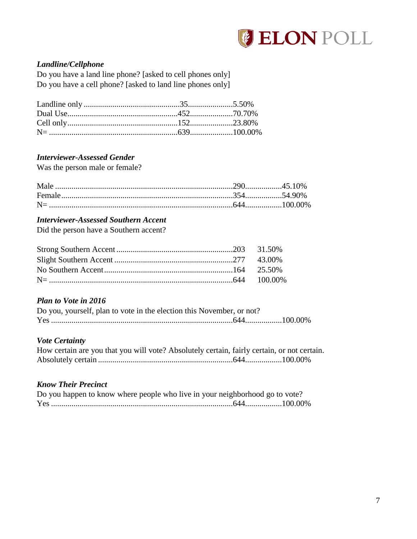

# *Landline/Cellphone*

Do you have a land line phone? [asked to cell phones only] Do you have a cell phone? [asked to land line phones only]

# *Interviewer-Assessed Gender*

Was the person male or female?

## *Interviewer-Assessed Southern Accent*

Did the person have a Southern accent?

## *Plan to Vote in 2016*

| Do you, yourself, plan to vote in the election this November, or not? |  |
|-----------------------------------------------------------------------|--|
|                                                                       |  |

# *Vote Certainty*

| How certain are you that you will vote? Absolutely certain, fairly certain, or not certain. |  |
|---------------------------------------------------------------------------------------------|--|
|                                                                                             |  |

# *Know Their Precinct*

| Do you happen to know where people who live in your neighborhood go to vote? |  |  |
|------------------------------------------------------------------------------|--|--|
|                                                                              |  |  |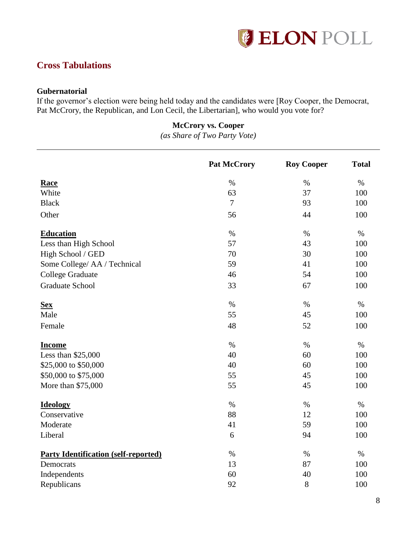

# **Cross Tabulations**

## **Gubernatorial**

If the governor's election were being held today and the candidates were [Roy Cooper, the Democrat, Pat McCrory, the Republican, and Lon Cecil, the Libertarian], who would you vote for?

# **McCrory vs. Cooper**

*(as Share of Two Party Vote)*

|                                             | <b>Pat McCrory</b> | <b>Roy Cooper</b> | <b>Total</b> |
|---------------------------------------------|--------------------|-------------------|--------------|
| <b>Race</b>                                 | $\%$               | $\%$              | $\%$         |
| White                                       | 63                 | 37                | 100          |
| <b>Black</b>                                | $\overline{7}$     | 93                | 100          |
| Other                                       | 56                 | 44                | 100          |
| <b>Education</b>                            | $\%$               | $\%$              | $\%$         |
| Less than High School                       | 57                 | 43                | 100          |
| High School / GED                           | 70                 | 30                | 100          |
| Some College/ AA / Technical                | 59                 | 41                | 100          |
| College Graduate                            | 46                 | 54                | 100          |
| <b>Graduate School</b>                      | 33                 | 67                | 100          |
| <b>Sex</b>                                  | $\%$               | $\%$              | $\%$         |
| Male                                        | 55                 | 45                | 100          |
| Female                                      | 48                 | 52                | 100          |
| <b>Income</b>                               | $\%$               | $\%$              | $\%$         |
| Less than \$25,000                          | 40                 | 60                | 100          |
| \$25,000 to \$50,000                        | 40                 | 60                | 100          |
| \$50,000 to \$75,000                        | 55                 | 45                | 100          |
| More than \$75,000                          | 55                 | 45                | 100          |
| <b>Ideology</b>                             | $\%$               | $\%$              | $\%$         |
| Conservative                                | 88                 | 12                | 100          |
| Moderate                                    | 41                 | 59                | 100          |
| Liberal                                     | 6                  | 94                | 100          |
| <b>Party Identification (self-reported)</b> | $\%$               | $\%$              | $\%$         |
| Democrats                                   | 13                 | 87                | 100          |
| Independents                                | 60                 | 40                | 100          |
| Republicans                                 | 92                 | 8                 | 100          |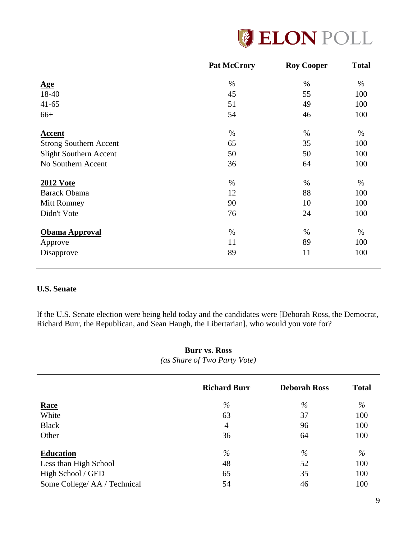

|                               | <b>Pat McCrory</b> | <b>Roy Cooper</b> | <b>Total</b> |
|-------------------------------|--------------------|-------------------|--------------|
| <u>Age</u>                    | $\%$               | $\%$              | $\%$         |
| 18-40                         | 45                 | 55                | 100          |
| $41 - 65$                     | 51                 | 49                | 100          |
| $66+$                         | 54                 | 46                | 100          |
| <b>Accent</b>                 | $\%$               | $\%$              | $\%$         |
| <b>Strong Southern Accent</b> | 65                 | 35                | 100          |
| <b>Slight Southern Accent</b> | 50                 | 50                | 100          |
| No Southern Accent            | 36                 | 64                | 100          |
| <b>2012 Vote</b>              | $\%$               | %                 | %            |
| <b>Barack Obama</b>           | 12                 | 88                | 100          |
| <b>Mitt Romney</b>            | 90                 | 10                | 100          |
| Didn't Vote                   | 76                 | 24                | 100          |
| <b>Obama Approval</b>         | $\%$               | %                 | $\%$         |
| Approve                       | 11                 | 89                | 100          |
| Disapprove                    | 89                 | 11                | 100          |

# **U.S. Senate**

If the U.S. Senate election were being held today and the candidates were [Deborah Ross, the Democrat, Richard Burr, the Republican, and Sean Haugh, the Libertarian], who would you vote for?

# **Burr vs. Ross** *(as Share of Two Party Vote)*

|                              | <b>Richard Burr</b> | <b>Deborah Ross</b> | <b>Total</b> |
|------------------------------|---------------------|---------------------|--------------|
| <u>Race</u>                  | $\%$                | $\%$                | $\%$         |
| White                        | 63                  | 37                  | 100          |
| <b>Black</b>                 | $\overline{4}$      | 96                  | 100          |
| Other                        | 36                  | 64                  | 100          |
| <b>Education</b>             | $\%$                | $\%$                | $\%$         |
| Less than High School        | 48                  | 52                  | 100          |
| High School / GED            | 65                  | 35                  | 100          |
| Some College/ AA / Technical | 54                  | 46                  | 100          |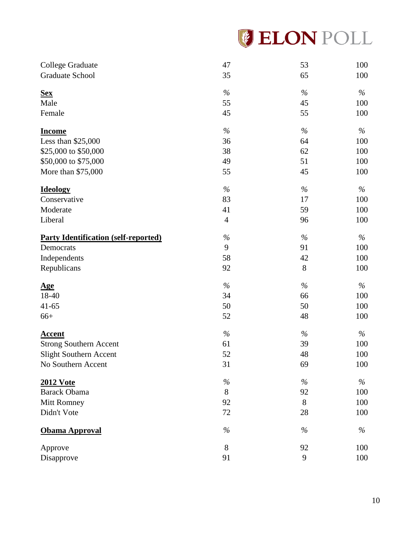|  | <b>GELON POLL</b> |  |  |  |  |  |
|--|-------------------|--|--|--|--|--|
|--|-------------------|--|--|--|--|--|

| College Graduate                            | 47             | 53   | 100           |
|---------------------------------------------|----------------|------|---------------|
| Graduate School                             | 35             | 65   | 100           |
| <u>Sex</u>                                  | $\%$           | $\%$ | $\%$          |
| Male                                        | 55             | 45   | 100           |
| Female                                      | 45             | 55   | 100           |
| <b>Income</b>                               | $\%$           | $\%$ | $\%$          |
| Less than \$25,000                          | 36             | 64   | 100           |
| \$25,000 to \$50,000                        | 38             | 62   | 100           |
| \$50,000 to \$75,000                        | 49             | 51   | 100           |
| More than \$75,000                          | 55             | 45   | 100           |
| <b>Ideology</b>                             | $\%$           | $\%$ | $\%$          |
| Conservative                                | 83             | 17   | 100           |
| Moderate                                    | 41             | 59   | 100           |
| Liberal                                     | $\overline{4}$ | 96   | 100           |
| <b>Party Identification (self-reported)</b> | $\%$           | $\%$ | $\%$          |
| Democrats                                   | 9              | 91   | 100           |
| Independents                                | 58             | 42   | 100           |
| Republicans                                 | 92             | 8    | 100           |
| <u>Age</u>                                  | $\%$           | $\%$ | $\%$          |
| 18-40                                       | 34             | 66   | 100           |
| $41 - 65$                                   | 50             | 50   | 100           |
| $66+$                                       | 52             | 48   | 100           |
| <b>Accent</b>                               | $\%$           | $\%$ | $\%$          |
| <b>Strong Southern Accent</b>               | 61             | 39   | 100           |
| <b>Slight Southern Accent</b>               | 52             | 48   | 100           |
| No Southern Accent                          | 31             | 69   | 100           |
| <b>2012 Vote</b>                            | $\%$           | $\%$ | $\frac{0}{0}$ |
| <b>Barack Obama</b>                         | 8              | 92   | 100           |
| Mitt Romney                                 | 92             | 8    | 100           |
| Didn't Vote                                 | 72             | 28   | 100           |
| Obama Approval                              | $\%$           | $\%$ | $\%$          |
| Approve                                     | 8              | 92   | 100           |
| Disapprove                                  | 91             | 9    | 100           |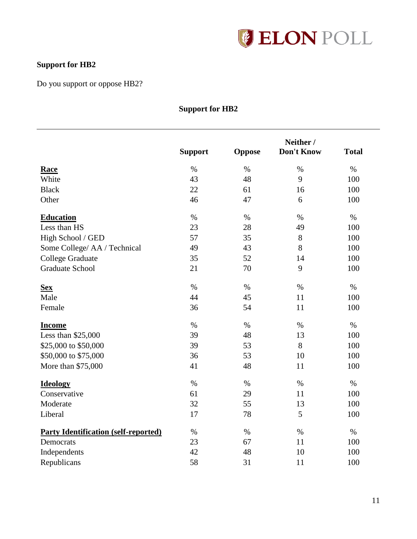

# **Support for HB2**

Do you support or oppose HB2?

# **Support for HB2**

|                                             | <b>Support</b> | <b>Oppose</b> | Neither /<br><b>Don't Know</b> | <b>Total</b> |
|---------------------------------------------|----------------|---------------|--------------------------------|--------------|
| <b>Race</b>                                 | $\%$           | $\%$          | $\%$                           | $\%$         |
| White                                       | 43             | 48            | 9                              | 100          |
| <b>Black</b>                                | 22             | 61            | 16                             | 100          |
| Other                                       | 46             | 47            | 6                              | 100          |
| <b>Education</b>                            | $\%$           | $\%$          | $\%$                           | $\%$         |
| Less than HS                                | 23             | 28            | 49                             | 100          |
| High School / GED                           | 57             | 35            | 8                              | 100          |
| Some College/ AA / Technical                | 49             | 43            | 8                              | 100          |
| <b>College Graduate</b>                     | 35             | 52            | 14                             | 100          |
| <b>Graduate School</b>                      | 21             | 70            | 9                              | 100          |
| <b>Sex</b>                                  | $\%$           | $\%$          | $\%$                           | $\%$         |
| Male                                        | 44             | 45            | 11                             | 100          |
| Female                                      | 36             | 54            | 11                             | 100          |
| <b>Income</b>                               | $\%$           | $\%$          | $\%$                           | $\%$         |
| Less than \$25,000                          | 39             | 48            | 13                             | 100          |
| \$25,000 to \$50,000                        | 39             | 53            | 8                              | 100          |
| \$50,000 to \$75,000                        | 36             | 53            | 10                             | 100          |
| More than \$75,000                          | 41             | 48            | 11                             | 100          |
| <b>Ideology</b>                             | $\%$           | $\%$          | $\%$                           | $\%$         |
| Conservative                                | 61             | 29            | 11                             | 100          |
| Moderate                                    | 32             | 55            | 13                             | 100          |
| Liberal                                     | 17             | 78            | 5                              | 100          |
| <b>Party Identification (self-reported)</b> | $\%$           | $\%$          | $\%$                           | $\%$         |
| Democrats                                   | 23             | 67            | 11                             | 100          |
| Independents                                | 42             | 48            | 10                             | 100          |
| Republicans                                 | 58             | 31            | 11                             | 100          |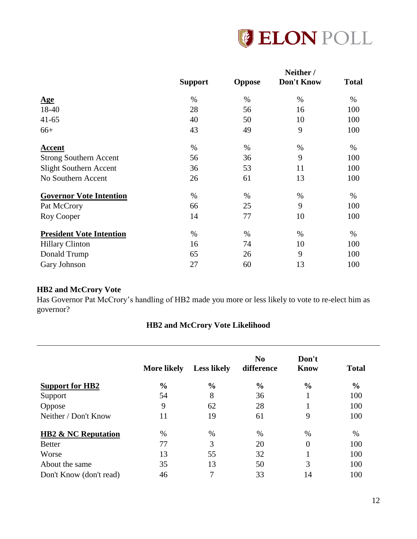

|                                 | <b>Support</b> |               | Neither /<br><b>Don't Know</b> | <b>Total</b> |
|---------------------------------|----------------|---------------|--------------------------------|--------------|
|                                 |                | <b>Oppose</b> |                                |              |
| <u>Age</u>                      | $\%$           | %             | $\%$                           | %            |
| 18-40                           | 28             | 56            | 16                             | 100          |
| $41 - 65$                       | 40             | 50            | 10                             | 100          |
| $66+$                           | 43             | 49            | 9                              | 100          |
| Accent                          | $\%$           | %             | %                              | %            |
| <b>Strong Southern Accent</b>   | 56             | 36            | 9                              | 100          |
| <b>Slight Southern Accent</b>   | 36             | 53            | 11                             | 100          |
| No Southern Accent              | 26             | 61            | 13                             | 100          |
| <b>Governor Vote Intention</b>  | $\%$           | %             | $\%$                           | %            |
| Pat McCrory                     | 66             | 25            | 9                              | 100          |
| Roy Cooper                      | 14             | 77            | 10                             | 100          |
| <b>President Vote Intention</b> | %              | %             | %                              | %            |
| <b>Hillary Clinton</b>          | 16             | 74            | 10                             | 100          |
| Donald Trump                    | 65             | 26            | 9                              | 100          |
| Gary Johnson                    | 27             | 60            | 13                             | 100          |

# **HB2 and McCrory Vote**

Has Governor Pat McCrory's handling of HB2 made you more or less likely to vote to re-elect him as governor?

# **HB2 and McCrory Vote Likelihood**

| <b>More likely</b> | <b>Less likely</b> | N <sub>0</sub><br>difference | Don't<br><b>Know</b> | <b>Total</b>  |
|--------------------|--------------------|------------------------------|----------------------|---------------|
| $\frac{0}{0}$      | $\frac{6}{9}$      | $\frac{6}{6}$                | $\frac{6}{9}$        | $\frac{0}{0}$ |
| 54                 | 8                  | 36                           |                      | 100           |
| 9                  | 62                 | 28                           |                      | 100           |
| 11                 | 19                 | 61                           | 9                    | 100           |
| $\%$               | $\%$               | $\%$                         | $\%$                 | $\%$          |
| 77                 | 3                  | 20                           | 0                    | 100           |
| 13                 | 55                 | 32                           |                      | 100           |
| 35                 | 13                 | 50                           | 3                    | 100           |
| 46                 | 7                  | 33                           | 14                   | 100           |
|                    |                    |                              |                      |               |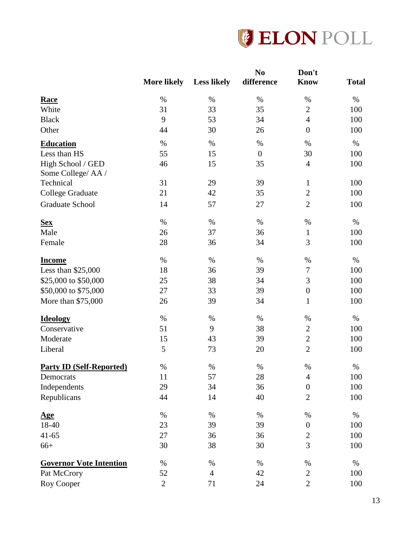

|                                        | <b>More likely</b> | <b>Less likely</b> | N <sub>0</sub><br>difference | Don't<br><b>Know</b> | <b>Total</b> |
|----------------------------------------|--------------------|--------------------|------------------------------|----------------------|--------------|
| <b>Race</b>                            | $\%$               | $\%$               | $\%$                         | $\%$                 | $\%$         |
| White                                  | 31                 | 33                 | 35                           | $\overline{2}$       | 100          |
| <b>Black</b>                           | 9                  | 53                 | 34                           | $\overline{4}$       | 100          |
| Other                                  | 44                 | 30                 | 26                           | $\overline{0}$       | 100          |
| <b>Education</b>                       | $\%$               | $\%$               | $\%$                         | $\%$                 | $\%$         |
| Less than HS                           | 55                 | 15                 | $\boldsymbol{0}$             | 30                   | 100          |
| High School / GED<br>Some College/AA / | 46                 | 15                 | 35                           | $\overline{4}$       | 100          |
| Technical                              | 31                 | 29                 | 39                           | $\mathbf{1}$         | 100          |
| <b>College Graduate</b>                | 21                 | 42                 | 35                           | $\overline{2}$       | 100          |
| <b>Graduate School</b>                 | 14                 | 57                 | 27                           | $\overline{2}$       | 100          |
| <b>Sex</b>                             | $\%$               | $\%$               | $\%$                         | $\%$                 | $\%$         |
| Male                                   | 26                 | 37                 | 36                           | $\mathbf{1}$         | 100          |
| Female                                 | 28                 | 36                 | 34                           | 3                    | 100          |
| <b>Income</b>                          | $\%$               | $\%$               | $\%$                         | $\%$                 | $\%$         |
| Less than $$25,000$                    | 18                 | 36                 | 39                           | $\boldsymbol{7}$     | 100          |
| \$25,000 to \$50,000                   | 25                 | 38                 | 34                           | 3                    | 100          |
| \$50,000 to \$75,000                   | 27                 | 33                 | 39                           | $\boldsymbol{0}$     | 100          |
| More than \$75,000                     | 26                 | 39                 | 34                           | $\mathbf{1}$         | 100          |
| <b>Ideology</b>                        | $\%$               | $\%$               | $\%$                         | $\%$                 | $\%$         |
| Conservative                           | 51                 | 9                  | 38                           | $\boldsymbol{2}$     | 100          |
| Moderate                               | 15                 | 43                 | 39                           | $\overline{2}$       | 100          |
| Liberal                                | 5                  | 73                 | 20                           | $\overline{2}$       | 100          |
| <b>Party ID (Self-Reported)</b>        | $\%$               | $\%$               | $\%$                         | $\%$                 | %            |
| Democrats                              | 11                 | 57                 | 28                           | 4                    | 100          |
| Independents                           | 29                 | 34                 | 36                           | $\boldsymbol{0}$     | 100          |
| Republicans                            | 44                 | 14                 | 40                           | $\mathbf{2}$         | 100          |
| <u>Age</u>                             | $\%$               | $\%$               | $\%$                         | $\%$                 | $\%$         |
| 18-40                                  | 23                 | 39                 | 39                           | $\theta$             | 100          |
| $41 - 65$                              | 27                 | 36                 | 36                           | $\boldsymbol{2}$     | 100          |
| $66+$                                  | 30                 | 38                 | 30                           | 3                    | 100          |
| <b>Governor Vote Intention</b>         | $\%$               | $\%$               | $\%$                         | $\%$                 | $\%$         |
| Pat McCrory                            | 52                 | $\overline{4}$     | 42                           | $\mathbf{2}$         | 100          |
| Roy Cooper                             | $\mathbf{2}$       | 71                 | 24                           | $\overline{2}$       | 100          |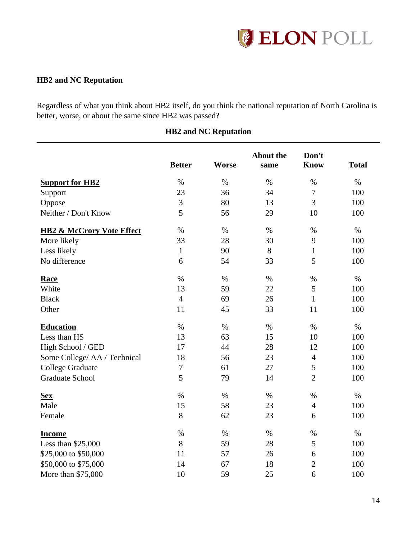

# **HB2 and NC Reputation**

Regardless of what you think about HB2 itself, do you think the national reputation of North Carolina is better, worse, or about the same since HB2 was passed?

|                                      | <b>Better</b>  | <b>Worse</b> | <b>About the</b><br>same | Don't<br><b>Know</b> | <b>Total</b> |
|--------------------------------------|----------------|--------------|--------------------------|----------------------|--------------|
| <b>Support for HB2</b>               | $\%$           | $\%$         | $\%$                     | $\%$                 | $\%$         |
| Support                              | 23             | 36           | 34                       | $\boldsymbol{7}$     | 100          |
| Oppose                               | 3              | 80           | 13                       | 3                    | 100          |
| Neither / Don't Know                 | 5              | 56           | 29                       | 10                   | 100          |
| <b>HB2 &amp; McCrory Vote Effect</b> | $\%$           | $\%$         | $\%$                     | $\%$                 | $\%$         |
| More likely                          | 33             | 28           | 30                       | 9                    | 100          |
| Less likely                          | $\mathbf{1}$   | 90           | 8                        | $\mathbf{1}$         | 100          |
| No difference                        | 6              | 54           | 33                       | 5                    | 100          |
| <b>Race</b>                          | $\%$           | $\%$         | $\%$                     | $\%$                 | $\%$         |
| White                                | 13             | 59           | 22                       | 5                    | 100          |
| <b>Black</b>                         | $\overline{4}$ | 69           | 26                       | $\mathbf{1}$         | 100          |
| Other                                | 11             | 45           | 33                       | 11                   | 100          |
| <b>Education</b>                     | $\%$           | $\%$         | $\%$                     | $\%$                 | $\%$         |
| Less than HS                         | 13             | 63           | 15                       | 10                   | 100          |
| High School / GED                    | 17             | 44           | 28                       | 12                   | 100          |
| Some College/ AA / Technical         | 18             | 56           | 23                       | $\overline{4}$       | 100          |
| <b>College Graduate</b>              | $\tau$         | 61           | 27                       | 5                    | 100          |
| <b>Graduate School</b>               | 5              | 79           | 14                       | $\overline{2}$       | 100          |
| <b>Sex</b>                           | $\%$           | $\%$         | $\%$                     | $\%$                 | $\%$         |
| Male                                 | 15             | 58           | 23                       | $\overline{4}$       | 100          |
| Female                               | 8              | 62           | 23                       | 6                    | 100          |
| <b>Income</b>                        | $\%$           | $\%$         | $\%$                     | $\%$                 | $\%$         |
| Less than \$25,000                   | 8              | 59           | 28                       | 5                    | 100          |
| \$25,000 to \$50,000                 | 11             | 57           | 26                       | 6                    | 100          |
| \$50,000 to \$75,000                 | 14             | 67           | 18                       | $\overline{2}$       | 100          |
| More than \$75,000                   | 10             | 59           | 25                       | 6                    | 100          |

# **HB2 and NC Reputation**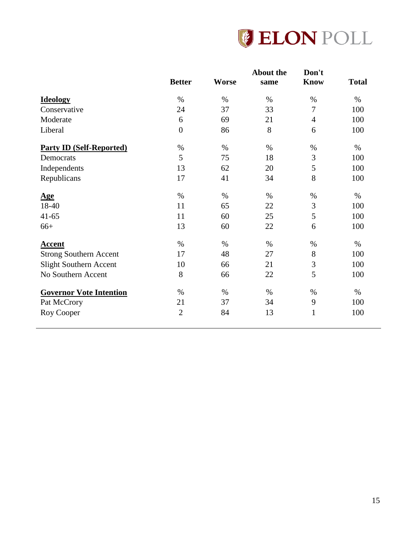

|                                 | <b>Better</b>  | <b>Worse</b> | <b>About the</b><br>same | Don't<br><b>Know</b> | <b>Total</b> |
|---------------------------------|----------------|--------------|--------------------------|----------------------|--------------|
|                                 |                |              |                          |                      |              |
| <b>Ideology</b>                 | $\%$           | $\%$         | $\%$                     | $\%$                 | $\%$         |
| Conservative                    | 24             | 37           | 33                       | 7                    | 100          |
| Moderate                        | 6              | 69           | 21                       | $\overline{4}$       | 100          |
| Liberal                         | $\overline{0}$ | 86           | 8                        | 6                    | 100          |
| <b>Party ID (Self-Reported)</b> | $\%$           | $\%$         | $\%$                     | $\%$                 | $\%$         |
| Democrats                       | 5              | 75           | 18                       | 3                    | 100          |
| Independents                    | 13             | 62           | 20                       | 5                    | 100          |
| Republicans                     | 17             | 41           | 34                       | 8                    | 100          |
| <u>Age</u>                      | $\%$           | $\%$         | $\%$                     | $\%$                 | $\%$         |
| 18-40                           | 11             | 65           | 22                       | 3                    | 100          |
| $41 - 65$                       | 11             | 60           | 25                       | 5                    | 100          |
| $66+$                           | 13             | 60           | 22                       | 6                    | 100          |
| <b>Accent</b>                   | $\%$           | $\%$         | $\%$                     | $\%$                 | $\%$         |
| <b>Strong Southern Accent</b>   | 17             | 48           | 27                       | $8\,$                | 100          |
| Slight Southern Accent          | 10             | 66           | 21                       | 3                    | 100          |
| No Southern Accent              | 8              | 66           | 22                       | 5                    | 100          |
| <b>Governor Vote Intention</b>  | $\%$           | $\%$         | $\%$                     | $\%$                 | $\%$         |
| Pat McCrory                     | 21             | 37           | 34                       | 9                    | 100          |
| Roy Cooper                      | $\overline{2}$ | 84           | 13                       | $\mathbf{1}$         | 100          |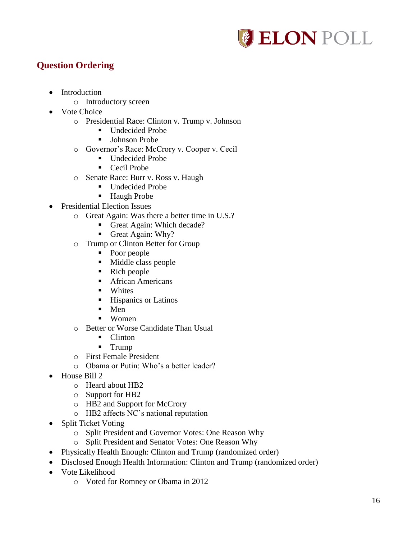

# **Question Ordering**

- Introduction
	- o Introductory screen
- Vote Choice
	- o Presidential Race: Clinton v. Trump v. Johnson
		- Undecided Probe
		- **Johnson Probe**
	- o Governor's Race: McCrory v. Cooper v. Cecil
		- Undecided Probe
		- Cecil Probe
	- o Senate Race: Burr v. Ross v. Haugh
		- Undecided Probe
		- **Haugh Probe**
- Presidential Election Issues
	- o Great Again: Was there a better time in U.S.?
		- Great Again: Which decade?
		- Great Again: Why?
	- o Trump or Clinton Better for Group
		- Poor people
		- Middle class people
		- $\blacksquare$  Rich people
		- **African Americans**
		- **Whites**
		- **Hispanics or Latinos**
		- $Men$
		- Women
	- o Better or Worse Candidate Than Usual
		- Clinton
		- $Trump$
	- o First Female President
	- o Obama or Putin: Who's a better leader?
- House Bill 2
	- o Heard about HB2
	- o Support for HB2
	- o HB2 and Support for McCrory
	- o HB2 affects NC's national reputation
- Split Ticket Voting
	- o Split President and Governor Votes: One Reason Why
	- o Split President and Senator Votes: One Reason Why
- Physically Health Enough: Clinton and Trump (randomized order)
- Disclosed Enough Health Information: Clinton and Trump (randomized order)
- Vote Likelihood
	- o Voted for Romney or Obama in 2012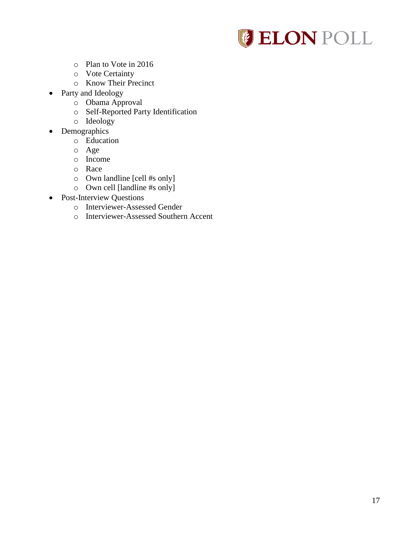

- o Plan to Vote in 2016
- o Vote Certainty
- o Know Their Precinct
- Party and Ideology
	- o Obama Approval
	- o Self-Reported Party Identification
	- o Ideology
- Demographics
	- o Education
	- o Age
	- o Income
	- o Race
	- o Own landline [cell #s only]
	- o Own cell [landline #s only]
- Post-Interview Questions
	- o Interviewer-Assessed Gender
	- o Interviewer-Assessed Southern Accent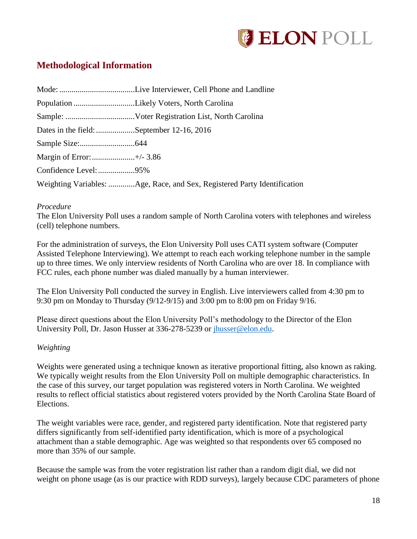

# **Methodological Information**

| Dates in the field: September 12-16, 2016 |                                                                          |  |  |
|-------------------------------------------|--------------------------------------------------------------------------|--|--|
|                                           |                                                                          |  |  |
|                                           |                                                                          |  |  |
| Confidence Level: 95%                     |                                                                          |  |  |
|                                           | Weighting Variables: Age, Race, and Sex, Registered Party Identification |  |  |

### *Procedure*

The Elon University Poll uses a random sample of North Carolina voters with telephones and wireless (cell) telephone numbers.

For the administration of surveys, the Elon University Poll uses CATI system software (Computer Assisted Telephone Interviewing). We attempt to reach each working telephone number in the sample up to three times. We only interview residents of North Carolina who are over 18. In compliance with FCC rules, each phone number was dialed manually by a human interviewer.

The Elon University Poll conducted the survey in English. Live interviewers called from 4:30 pm to 9:30 pm on Monday to Thursday (9/12-9/15) and 3:00 pm to 8:00 pm on Friday 9/16.

Please direct questions about the Elon University Poll's methodology to the Director of the Elon University Poll, Dr. Jason Husser at 336-278-5239 or [jhusser@elon.edu.](mailto:jhusser@elon.edu)

### *Weighting*

Weights were generated using a technique known as iterative proportional fitting, also known as raking. We typically weight results from the Elon University Poll on multiple demographic characteristics. In the case of this survey, our target population was registered voters in North Carolina. We weighted results to reflect official statistics about registered voters provided by the North Carolina State Board of Elections.

The weight variables were race, gender, and registered party identification. Note that registered party differs significantly from self-identified party identification, which is more of a psychological attachment than a stable demographic. Age was weighted so that respondents over 65 composed no more than 35% of our sample.

Because the sample was from the voter registration list rather than a random digit dial, we did not weight on phone usage (as is our practice with RDD surveys), largely because CDC parameters of phone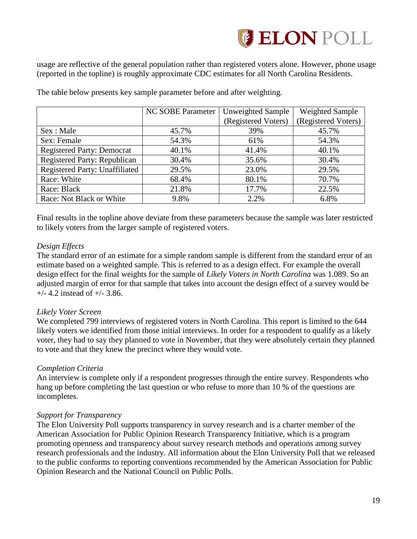

usage are reflective of the general population rather than registered voters alone. However, phone usage (reported in the topline) is roughly approximate CDC estimates for all North Carolina Residents.

|                                   | <b>NC SOBE Parameter</b> | <b>Unweighted Sample</b> | <b>Weighted Sample</b> |
|-----------------------------------|--------------------------|--------------------------|------------------------|
|                                   |                          | (Registered Voters)      | (Registered Voters)    |
| Sex : Male                        | 45.7%                    | 39%                      | 45.7%                  |
| Sex: Female                       | 54.3%                    | 61%                      | 54.3%                  |
| <b>Registered Party: Democrat</b> | 40.1%                    | 41.4%                    | 40.1%                  |
| Registered Party: Republican      | 30.4%                    | 35.6%                    | 30.4%                  |
| Registered Party: Unaffiliated    | 29.5%                    | 23.0%                    | 29.5%                  |
| Race: White                       | 68.4%                    | 80.1%                    | 70.7%                  |
| Race: Black                       | 21.8%                    | 17.7%                    | 22.5%                  |
| Race: Not Black or White          | 9.8%                     | 2.2%                     | 6.8%                   |

The table below presents key sample parameter before and after weighting.

Final results in the topline above deviate from these parameters because the sample was later restricted to likely voters from the larger sample of registered voters.

## *Design Effects*

The standard error of an estimate for a simple random sample is different from the standard error of an estimate based on a weighted sample. This is referred to as a design effect. For example the overall design effect for the final weights for the sample of *Likely Voters in North Carolina* was 1.089. So an adjusted margin of error for that sample that takes into account the design effect of a survey would be  $+/- 4.2$  instead of  $+/- 3.86$ .

# *Likely Voter Screen*

We completed 799 interviews of registered voters in North Carolina. This report is limited to the 644 likely voters we identified from those initial interviews. In order for a respondent to qualify as a likely voter, they had to say they planned to vote in November, that they were absolutely certain they planned to vote and that they knew the precinct where they would vote.

### *Completion Criteria*

An interview is complete only if a respondent progresses through the entire survey. Respondents who hang up before completing the last question or who refuse to more than 10 % of the questions are incompletes.

### *Support for Transparency*

The Elon University Poll supports transparency in survey research and is a charter member of the American Association for Public Opinion Research Transparency Initiative, which is a program promoting openness and transparency about survey research methods and operations among survey research professionals and the industry. All information about the Elon University Poll that we released to the public conforms to reporting conventions recommended by the American Association for Public Opinion Research and the National Council on Public Polls.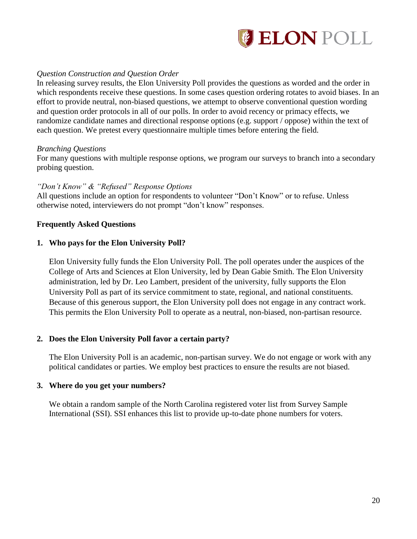

## *Question Construction and Question Order*

In releasing survey results, the Elon University Poll provides the questions as worded and the order in which respondents receive these questions. In some cases question ordering rotates to avoid biases. In an effort to provide neutral, non-biased questions, we attempt to observe conventional question wording and question order protocols in all of our polls. In order to avoid recency or primacy effects, we randomize candidate names and directional response options (e.g. support / oppose) within the text of each question. We pretest every questionnaire multiple times before entering the field.

#### *Branching Questions*

For many questions with multiple response options, we program our surveys to branch into a secondary probing question.

### *"Don't Know" & "Refused" Response Options*

All questions include an option for respondents to volunteer "Don't Know" or to refuse. Unless otherwise noted, interviewers do not prompt "don't know" responses.

### **Frequently Asked Questions**

### **1. Who pays for the Elon University Poll?**

Elon University fully funds the Elon University Poll. The poll operates under the auspices of the College of Arts and Sciences at Elon University, led by Dean Gabie Smith. The Elon University administration, led by Dr. Leo Lambert, president of the university, fully supports the Elon University Poll as part of its service commitment to state, regional, and national constituents. Because of this generous support, the Elon University poll does not engage in any contract work. This permits the Elon University Poll to operate as a neutral, non-biased, non-partisan resource.

### **2. Does the Elon University Poll favor a certain party?**

The Elon University Poll is an academic, non-partisan survey. We do not engage or work with any political candidates or parties. We employ best practices to ensure the results are not biased.

### **3. Where do you get your numbers?**

We obtain a random sample of the North Carolina registered voter list from Survey Sample International (SSI). SSI enhances this list to provide up-to-date phone numbers for voters.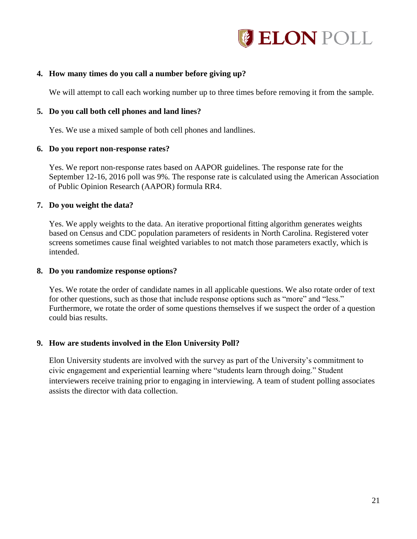

## **4. How many times do you call a number before giving up?**

We will attempt to call each working number up to three times before removing it from the sample.

#### **5. Do you call both cell phones and land lines?**

Yes. We use a mixed sample of both cell phones and landlines.

#### **6. Do you report non-response rates?**

Yes. We report non-response rates based on AAPOR guidelines. The response rate for the September 12-16, 2016 poll was 9%. The response rate is calculated using the American Association of Public Opinion Research (AAPOR) formula RR4.

#### **7. Do you weight the data?**

Yes. We apply weights to the data. An iterative proportional fitting algorithm generates weights based on Census and CDC population parameters of residents in North Carolina. Registered voter screens sometimes cause final weighted variables to not match those parameters exactly, which is intended.

#### **8. Do you randomize response options?**

Yes. We rotate the order of candidate names in all applicable questions. We also rotate order of text for other questions, such as those that include response options such as "more" and "less." Furthermore, we rotate the order of some questions themselves if we suspect the order of a question could bias results.

### **9. How are students involved in the Elon University Poll?**

Elon University students are involved with the survey as part of the University's commitment to civic engagement and experiential learning where "students learn through doing." Student interviewers receive training prior to engaging in interviewing. A team of student polling associates assists the director with data collection.